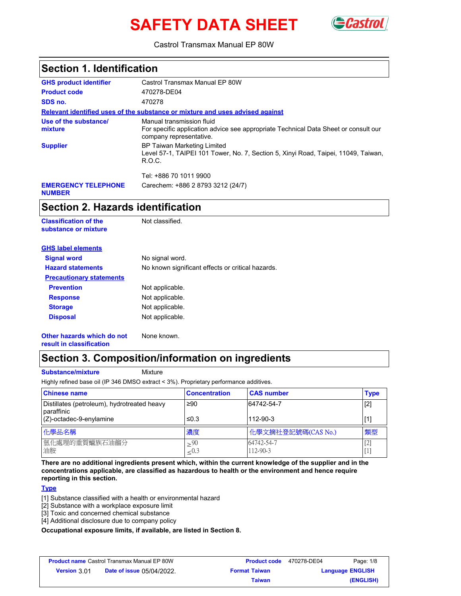# **SAFETY DATA SHEET**



Castrol Transmax Manual EP 80W

| <b>Section 1. Identification</b>            |                                                                                                                                             |  |
|---------------------------------------------|---------------------------------------------------------------------------------------------------------------------------------------------|--|
| <b>GHS product identifier</b>               | Castrol Transmax Manual EP 80W                                                                                                              |  |
| <b>Product code</b>                         | 470278-DE04                                                                                                                                 |  |
| SDS no.                                     | 470278                                                                                                                                      |  |
|                                             | Relevant identified uses of the substance or mixture and uses advised against                                                               |  |
| Use of the substance/<br>mixture            | Manual transmission fluid<br>For specific application advice see appropriate Technical Data Sheet or consult our<br>company representative. |  |
| <b>Supplier</b>                             | <b>BP Taiwan Marketing Limited</b><br>Level 57-1, TAIPEI 101 Tower, No. 7, Section 5, Xinyi Road, Taipei, 11049, Taiwan,<br>R.O.C.          |  |
|                                             | Tel: +886 70 1011 9900                                                                                                                      |  |
| <b>EMERGENCY TELEPHONE</b><br><b>NUMBER</b> | Carechem: +886 2 8793 3212 (24/7)                                                                                                           |  |

### **Section 2. Hazards identification**

**Classification of the Mot classified. substance or mixture**

| <b>GHS label elements</b>       |                                                   |
|---------------------------------|---------------------------------------------------|
| <b>Signal word</b>              | No signal word.                                   |
| <b>Hazard statements</b>        | No known significant effects or critical hazards. |
| <b>Precautionary statements</b> |                                                   |
| <b>Prevention</b>               | Not applicable.                                   |
| <b>Response</b>                 | Not applicable.                                   |
| <b>Storage</b>                  | Not applicable.                                   |
| <b>Disposal</b>                 | Not applicable.                                   |
|                                 |                                                   |

**Other hazards which do not result in classification**

## None known.

## **Section 3. Composition/information on ingredients**

**Substance/mixture Mixture** 

Highly refined base oil (IP 346 DMSO extract < 3%). Proprietary performance additives.

| <b>Chinese name</b>                                         | <b>Concentration</b>   | <b>CAS number</b>      | <b>Type</b>               |
|-------------------------------------------------------------|------------------------|------------------------|---------------------------|
| Distillates (petroleum), hydrotreated heavy<br>l paraffinic | ≥90                    | 64742-54-7             | $[2]$                     |
| (Z)-octadec-9-enylamine                                     | $\leq 0.3$             | 112-90-3               |                           |
| 化學品名稱                                                       | 濃度                     | 化學文摘社登記號碼(CAS No.)     | 類型                        |
| 氫化處理的重質蠟族石油餾分<br>油胺                                         | $>^{90}$<br>$\leq 0.3$ | 64742-54-7<br>112-90-3 | $[2]$<br>$\left[1\right]$ |

**There are no additional ingredients present which, within the current knowledge of the supplier and in the concentrations applicable, are classified as hazardous to health or the environment and hence require reporting in this section.**

#### **Type**

[1] Substance classified with a health or environmental hazard

- [2] Substance with a workplace exposure limit
- [3] Toxic and concerned chemical substance
- [4] Additional disclosure due to company policy

**Occupational exposure limits, if available, are listed in Section 8.**

| <b>Product name Castrol Transmax Manual EP 80W</b> |                                  | <b>Product code</b>  | 470278-DE04 | Page: 1/8               |
|----------------------------------------------------|----------------------------------|----------------------|-------------|-------------------------|
| <b>Version 3.01</b>                                | <b>Date of issue 05/04/2022.</b> | <b>Format Taiwan</b> |             | <b>Language ENGLISH</b> |
|                                                    |                                  | Taiwan               |             | (ENGLISH)               |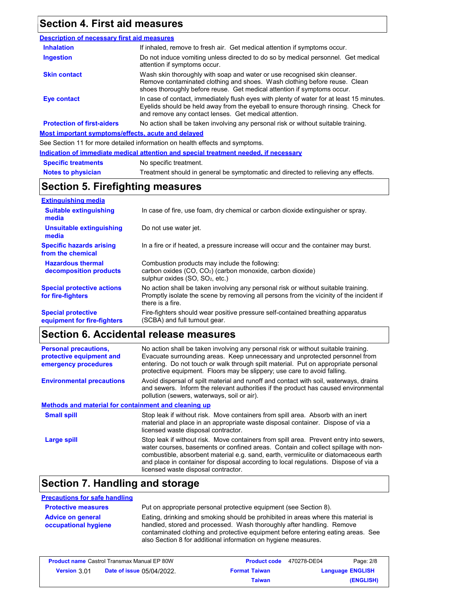### **Section 4. First aid measures**

#### Do not induce vomiting unless directed to do so by medical personnel. Get medical attention if symptoms occur. In case of contact, immediately flush eyes with plenty of water for at least 15 minutes. Eyelids should be held away from the eyeball to ensure thorough rinsing. Check for and remove any contact lenses. Get medical attention. Wash skin thoroughly with soap and water or use recognised skin cleanser. Remove contaminated clothing and shoes. Wash clothing before reuse. Clean shoes thoroughly before reuse. Get medical attention if symptoms occur. If inhaled, remove to fresh air. Get medical attention if symptoms occur. **Eye contact Skin contact Inhalation Ingestion Protection of first-aiders** No action shall be taken involving any personal risk or without suitable training. **Description of necessary first aid measures Most important symptoms/effects, acute and delayed**

See Section 11 for more detailed information on health effects and symptoms.

**Indication of immediate medical attention and special treatment needed, if necessary**

| <b>Specific treatments</b> | No specific treatment.                                                            |
|----------------------------|-----------------------------------------------------------------------------------|
| <b>Notes to physician</b>  | Treatment should in general be symptomatic and directed to relieving any effects. |

### **Section 5. Firefighting measures**

| <b>Extinguishing media</b>                               |                                                                                                                                                                                                   |
|----------------------------------------------------------|---------------------------------------------------------------------------------------------------------------------------------------------------------------------------------------------------|
| <b>Suitable extinguishing</b><br>media                   | In case of fire, use foam, dry chemical or carbon dioxide extinguisher or spray.                                                                                                                  |
| <b>Unsuitable extinguishing</b><br>media                 | Do not use water jet.                                                                                                                                                                             |
| <b>Specific hazards arising</b><br>from the chemical     | In a fire or if heated, a pressure increase will occur and the container may burst.                                                                                                               |
| <b>Hazardous thermal</b><br>decomposition products       | Combustion products may include the following:<br>carbon oxides $(CO, CO2)$ (carbon monoxide, carbon dioxide)<br>sulphur oxides (SO, SO <sub>2</sub> , etc.)                                      |
| <b>Special protective actions</b><br>for fire-fighters   | No action shall be taken involving any personal risk or without suitable training.<br>Promptly isolate the scene by removing all persons from the vicinity of the incident if<br>there is a fire. |
| <b>Special protective</b><br>equipment for fire-fighters | Fire-fighters should wear positive pressure self-contained breathing apparatus<br>(SCBA) and full turnout gear.                                                                                   |

## **Section 6. Accidental release measures**

| <b>Personal precautions,</b><br>protective equipment and<br>emergency procedures | No action shall be taken involving any personal risk or without suitable training.<br>Evacuate surrounding areas. Keep unnecessary and unprotected personnel from<br>entering. Do not touch or walk through spilt material. Put on appropriate personal<br>protective equipment. Floors may be slippery; use care to avoid falling.                                                                |
|----------------------------------------------------------------------------------|----------------------------------------------------------------------------------------------------------------------------------------------------------------------------------------------------------------------------------------------------------------------------------------------------------------------------------------------------------------------------------------------------|
| <b>Environmental precautions</b>                                                 | Avoid dispersal of spilt material and runoff and contact with soil, waterways, drains<br>and sewers. Inform the relevant authorities if the product has caused environmental<br>pollution (sewers, waterways, soil or air).                                                                                                                                                                        |
| <b>Methods and material for containment and cleaning up</b>                      |                                                                                                                                                                                                                                                                                                                                                                                                    |
| <b>Small spill</b>                                                               | Stop leak if without risk. Move containers from spill area. Absorb with an inert<br>material and place in an appropriate waste disposal container. Dispose of via a<br>licensed waste disposal contractor.                                                                                                                                                                                         |
| Large spill                                                                      | Stop leak if without risk. Move containers from spill area. Prevent entry into sewers,<br>water courses, basements or confined areas. Contain and collect spillage with non-<br>combustible, absorbent material e.g. sand, earth, vermiculite or diatomaceous earth<br>and place in container for disposal according to local regulations. Dispose of via a<br>licensed waste disposal contractor. |

## **Section 7. Handling and storage**

#### **Precautions for safe handling**

| <b>Protective measures</b>                       | Put on appropriate personal protective equipment (see Section 8).                                                                                          |
|--------------------------------------------------|------------------------------------------------------------------------------------------------------------------------------------------------------------|
| <b>Advice on general</b><br>occupational hygiene | Eating, drinking and smoking should be prohibited in areas where this material is<br>handled, stored and processed. Wash thoroughly after handling. Remove |
|                                                  | contaminated clothing and protective equipment before entering eating areas. See<br>also Section 8 for additional information on hygiene measures.         |

| <b>Product name Castrol Transmax Manual EP 80W</b> |                                  | <b>Product code</b>  | 470278-DE04 | Page: 2/8               |
|----------------------------------------------------|----------------------------------|----------------------|-------------|-------------------------|
| <b>Version 301</b>                                 | <b>Date of issue 05/04/2022.</b> | <b>Format Taiwan</b> |             | <b>Language ENGLISH</b> |
|                                                    |                                  | <b>Taiwan</b>        |             | (ENGLISH)               |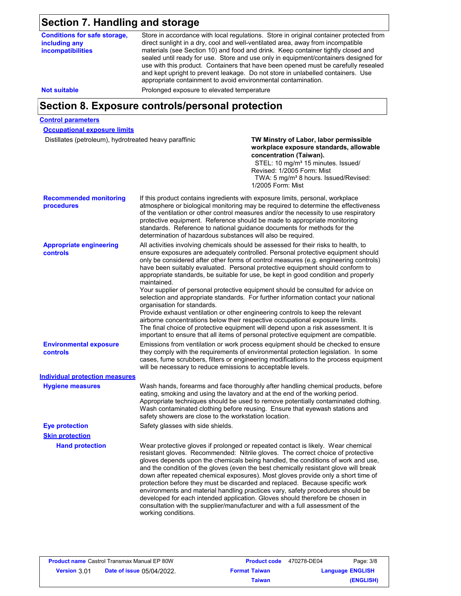## **Section 7. Handling and storage**

**Conditions for safe storage, including any incompatibilities**

Store in accordance with local regulations. Store in original container protected from direct sunlight in a dry, cool and well-ventilated area, away from incompatible materials (see Section 10) and food and drink. Keep container tightly closed and sealed until ready for use. Store and use only in equipment/containers designed for use with this product. Containers that have been opened must be carefully resealed and kept upright to prevent leakage. Do not store in unlabelled containers. Use appropriate containment to avoid environmental contamination.

**Not suitable Not suitable** Prolonged exposure to elevated temperature

## **Section 8. Exposure controls/personal protection**

#### **Control parameters**

**Occupational exposure limits**

Distillates (petroleum), hydrotreated heavy paraffinic **TW Minstry of Labor, labor permissible** 

### **workplace exposure standards, allowable concentration (Taiwan).**

STEL: 10 mg/m<sup>3</sup> 15 minutes. Issued/ Revised: 1/2005 Form: Mist TWA: 5 mg/m<sup>3</sup> 8 hours. Issued/Revised: 1/2005 Form: Mist

|                                             | 1/2005 Form: Mist                                                                                                                                                                                                                                                                                                                                                                                                                                                                                                                                                                                                                                                                                                                                                                                                                                                                                                                                                                                             |
|---------------------------------------------|---------------------------------------------------------------------------------------------------------------------------------------------------------------------------------------------------------------------------------------------------------------------------------------------------------------------------------------------------------------------------------------------------------------------------------------------------------------------------------------------------------------------------------------------------------------------------------------------------------------------------------------------------------------------------------------------------------------------------------------------------------------------------------------------------------------------------------------------------------------------------------------------------------------------------------------------------------------------------------------------------------------|
| <b>Recommended monitoring</b><br>procedures | If this product contains ingredients with exposure limits, personal, workplace<br>atmosphere or biological monitoring may be required to determine the effectiveness<br>of the ventilation or other control measures and/or the necessity to use respiratory<br>protective equipment. Reference should be made to appropriate monitoring<br>standards. Reference to national guidance documents for methods for the<br>determination of hazardous substances will also be required.                                                                                                                                                                                                                                                                                                                                                                                                                                                                                                                           |
| <b>Appropriate engineering</b><br>controls  | All activities involving chemicals should be assessed for their risks to health, to<br>ensure exposures are adequately controlled. Personal protective equipment should<br>only be considered after other forms of control measures (e.g. engineering controls)<br>have been suitably evaluated. Personal protective equipment should conform to<br>appropriate standards, be suitable for use, be kept in good condition and properly<br>maintained.<br>Your supplier of personal protective equipment should be consulted for advice on<br>selection and appropriate standards. For further information contact your national<br>organisation for standards.<br>Provide exhaust ventilation or other engineering controls to keep the relevant<br>airborne concentrations below their respective occupational exposure limits.<br>The final choice of protective equipment will depend upon a risk assessment. It is<br>important to ensure that all items of personal protective equipment are compatible. |
| <b>Environmental exposure</b><br>controls   | Emissions from ventilation or work process equipment should be checked to ensure<br>they comply with the requirements of environmental protection legislation. In some<br>cases, fume scrubbers, filters or engineering modifications to the process equipment<br>will be necessary to reduce emissions to acceptable levels.                                                                                                                                                                                                                                                                                                                                                                                                                                                                                                                                                                                                                                                                                 |
| <b>Individual protection measures</b>       |                                                                                                                                                                                                                                                                                                                                                                                                                                                                                                                                                                                                                                                                                                                                                                                                                                                                                                                                                                                                               |
| <b>Hygiene measures</b>                     | Wash hands, forearms and face thoroughly after handling chemical products, before<br>eating, smoking and using the lavatory and at the end of the working period.<br>Appropriate techniques should be used to remove potentially contaminated clothing.<br>Wash contaminated clothing before reusing. Ensure that eyewash stations and<br>safety showers are close to the workstation location.                                                                                                                                                                                                                                                                                                                                                                                                                                                                                                                                                                                                               |
| <b>Eye protection</b>                       | Safety glasses with side shields.                                                                                                                                                                                                                                                                                                                                                                                                                                                                                                                                                                                                                                                                                                                                                                                                                                                                                                                                                                             |
| <b>Skin protection</b>                      |                                                                                                                                                                                                                                                                                                                                                                                                                                                                                                                                                                                                                                                                                                                                                                                                                                                                                                                                                                                                               |
| <b>Hand protection</b>                      | Wear protective gloves if prolonged or repeated contact is likely. Wear chemical<br>resistant gloves. Recommended: Nitrile gloves. The correct choice of protective<br>gloves depends upon the chemicals being handled, the conditions of work and use,<br>and the condition of the gloves (even the best chemically resistant glove will break<br>down after repeated chemical exposures). Most gloves provide only a short time of<br>protection before they must be discarded and replaced. Because specific work<br>environments and material handling practices vary, safety procedures should be<br>developed for each intended application. Gloves should therefore be chosen in<br>consultation with the supplier/manufacturer and with a full assessment of the<br>working conditions.                                                                                                                                                                                                               |

| <b>Product name</b> Castrol Transmax Manual EP 80W |                                  | <b>Product code</b>  | 470278-DE04 | Page: 3/8               |
|----------------------------------------------------|----------------------------------|----------------------|-------------|-------------------------|
| <b>Version 3.01</b>                                | <b>Date of issue 05/04/2022.</b> | <b>Format Taiwan</b> |             | <b>Language ENGLISH</b> |
|                                                    |                                  | Taiwan               |             | (ENGLISH)               |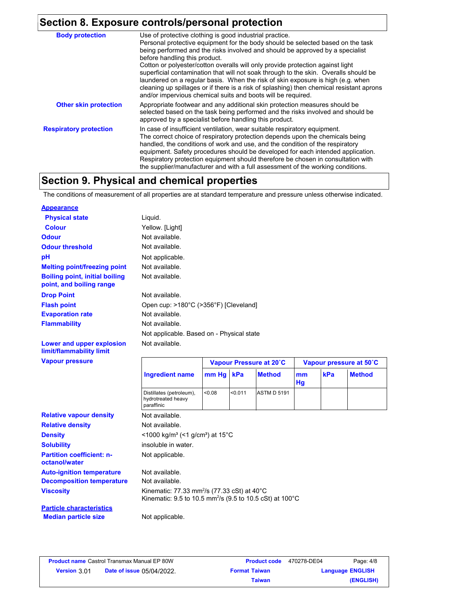## **Section 8. Exposure controls/personal protection**

| <b>Body protection</b>        | Use of protective clothing is good industrial practice.                                                                                                                                                                                                                                                                                                                                                                                                                                               |
|-------------------------------|-------------------------------------------------------------------------------------------------------------------------------------------------------------------------------------------------------------------------------------------------------------------------------------------------------------------------------------------------------------------------------------------------------------------------------------------------------------------------------------------------------|
|                               | Personal protective equipment for the body should be selected based on the task<br>being performed and the risks involved and should be approved by a specialist                                                                                                                                                                                                                                                                                                                                      |
|                               | before handling this product.                                                                                                                                                                                                                                                                                                                                                                                                                                                                         |
|                               | Cotton or polyester/cotton overalls will only provide protection against light<br>superficial contamination that will not soak through to the skin. Overalls should be<br>laundered on a regular basis. When the risk of skin exposure is high (e.g. when<br>cleaning up spillages or if there is a risk of splashing) then chemical resistant aprons<br>and/or impervious chemical suits and boots will be required.                                                                                 |
| <b>Other skin protection</b>  | Appropriate footwear and any additional skin protection measures should be<br>selected based on the task being performed and the risks involved and should be<br>approved by a specialist before handling this product.                                                                                                                                                                                                                                                                               |
| <b>Respiratory protection</b> | In case of insufficient ventilation, wear suitable respiratory equipment.<br>The correct choice of respiratory protection depends upon the chemicals being<br>handled, the conditions of work and use, and the condition of the respiratory<br>equipment. Safety procedures should be developed for each intended application.<br>Respiratory protection equipment should therefore be chosen in consultation with<br>the supplier/manufacturer and with a full assessment of the working conditions. |

## **Section 9. Physical and chemical properties**

The conditions of measurement of all properties are at standard temperature and pressure unless otherwise indicated.

| <b>Appearance</b>                                                 |                                           |
|-------------------------------------------------------------------|-------------------------------------------|
| <b>Physical state</b>                                             | Liguid.                                   |
| <b>Colour</b>                                                     | Yellow. [Light]                           |
| <b>Odour</b>                                                      | Not available.                            |
| <b>Odour threshold</b>                                            | Not available.                            |
| рH                                                                | Not applicable.                           |
| <b>Melting point/freezing point</b>                               | Not available.                            |
| <b>Boiling point, initial boiling</b><br>point, and boiling range | Not available.                            |
| <b>Drop Point</b>                                                 | Not available.                            |
| <b>Flash point</b>                                                | Open cup: >180°C (>356°F) [Cleveland]     |
| <b>Evaporation rate</b>                                           | Not available.                            |
| <b>Flammability</b>                                               | Not available.                            |
|                                                                   | Not applicable. Based on - Physical state |
| Lower and upper explosion<br>limit/flammability limit             | Not available.                            |

|                                                              | Vapour Pressure at 20°C |         |                                                                                         | Vapour pressure at 50°C                                            |                                                                       |               |
|--------------------------------------------------------------|-------------------------|---------|-----------------------------------------------------------------------------------------|--------------------------------------------------------------------|-----------------------------------------------------------------------|---------------|
| <b>Ingredient name</b>                                       |                         |         | <b>Method</b>                                                                           | mm<br>Hg                                                           | kPa                                                                   | <b>Method</b> |
| Distillates (petroleum),<br>hydrotreated heavy<br>paraffinic | < 0.08                  | < 0.011 | <b>ASTM D 5191</b>                                                                      |                                                                    |                                                                       |               |
| Not available.                                               |                         |         |                                                                                         |                                                                    |                                                                       |               |
| Not available.                                               |                         |         |                                                                                         |                                                                    |                                                                       |               |
|                                                              |                         |         |                                                                                         |                                                                    |                                                                       |               |
| insoluble in water.                                          |                         |         |                                                                                         |                                                                    |                                                                       |               |
| Not applicable.                                              |                         |         |                                                                                         |                                                                    |                                                                       |               |
| Not available.                                               |                         |         |                                                                                         |                                                                    |                                                                       |               |
| Not available.                                               |                         |         |                                                                                         |                                                                    |                                                                       |               |
|                                                              |                         |         |                                                                                         |                                                                    |                                                                       |               |
|                                                              |                         |         |                                                                                         |                                                                    |                                                                       |               |
| Not applicable.                                              |                         |         |                                                                                         |                                                                    |                                                                       |               |
|                                                              |                         |         | mm Hg kPa<br>$\leq$ 1000 kg/m <sup>3</sup> (<1 g/cm <sup>3</sup> ) at 15 <sup>°</sup> C | Kinematic: 77.33 mm <sup>2</sup> /s (77.33 cSt) at 40 $^{\circ}$ C | Kinematic: 9.5 to 10.5 mm <sup>2</sup> /s (9.5 to 10.5 cSt) at 100 °C |               |

|                    | <b>Product name Castrol Transmax Manual EP 80W</b> | <b>Product code</b>  | 470278-DE04 | Page: 4/8               |
|--------------------|----------------------------------------------------|----------------------|-------------|-------------------------|
| <b>Version 301</b> | <b>Date of issue 05/04/2022.</b>                   | <b>Format Taiwan</b> |             | <b>Language ENGLISH</b> |
|                    |                                                    | <b>Taiwan</b>        |             | (ENGLISH)               |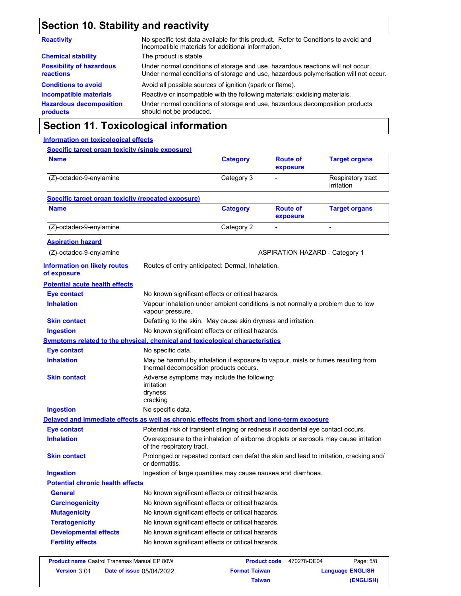## **Section 10. Stability and reactivity**

| No specific test data available for this product. Refer to Conditions to avoid and<br>Incompatible materials for additional information.                                |
|-------------------------------------------------------------------------------------------------------------------------------------------------------------------------|
| The product is stable.                                                                                                                                                  |
| Under normal conditions of storage and use, hazardous reactions will not occur.<br>Under normal conditions of storage and use, hazardous polymerisation will not occur. |
| Avoid all possible sources of ignition (spark or flame).                                                                                                                |
| Reactive or incompatible with the following materials: oxidising materials.                                                                                             |
| Under normal conditions of storage and use, hazardous decomposition products<br>should not be produced.                                                                 |
|                                                                                                                                                                         |

## **Section 11. Toxicological information**

#### **Information on toxicological effects**

| <b>Specific target organ toxicity (single exposure)</b>                                    |                                                                                                                             |                 |                                       |                                 |
|--------------------------------------------------------------------------------------------|-----------------------------------------------------------------------------------------------------------------------------|-----------------|---------------------------------------|---------------------------------|
| <b>Name</b>                                                                                |                                                                                                                             | <b>Category</b> | <b>Route of</b><br>exposure           | <b>Target organs</b>            |
| (Z)-octadec-9-enylamine                                                                    |                                                                                                                             | Category 3      |                                       | Respiratory tract<br>irritation |
| <b>Specific target organ toxicity (repeated exposure)</b>                                  |                                                                                                                             |                 |                                       |                                 |
| <b>Name</b>                                                                                |                                                                                                                             | <b>Category</b> | <b>Route of</b><br>exposure           | <b>Target organs</b>            |
| (Z)-octadec-9-enylamine                                                                    |                                                                                                                             | Category 2      |                                       |                                 |
| <b>Aspiration hazard</b>                                                                   |                                                                                                                             |                 |                                       |                                 |
| (Z)-octadec-9-enylamine                                                                    |                                                                                                                             |                 | <b>ASPIRATION HAZARD - Category 1</b> |                                 |
| <b>Information on likely routes</b><br>of exposure                                         | Routes of entry anticipated: Dermal, Inhalation.                                                                            |                 |                                       |                                 |
| <b>Potential acute health effects</b>                                                      |                                                                                                                             |                 |                                       |                                 |
| <b>Eye contact</b>                                                                         | No known significant effects or critical hazards.                                                                           |                 |                                       |                                 |
| <b>Inhalation</b>                                                                          | Vapour inhalation under ambient conditions is not normally a problem due to low<br>vapour pressure.                         |                 |                                       |                                 |
| <b>Skin contact</b>                                                                        | Defatting to the skin. May cause skin dryness and irritation.                                                               |                 |                                       |                                 |
| <b>Ingestion</b>                                                                           | No known significant effects or critical hazards.                                                                           |                 |                                       |                                 |
| <b>Symptoms related to the physical, chemical and toxicological characteristics</b>        |                                                                                                                             |                 |                                       |                                 |
| <b>Eye contact</b>                                                                         | No specific data.                                                                                                           |                 |                                       |                                 |
| <b>Inhalation</b>                                                                          | May be harmful by inhalation if exposure to vapour, mists or fumes resulting from<br>thermal decomposition products occurs. |                 |                                       |                                 |
| <b>Skin contact</b>                                                                        | Adverse symptoms may include the following:<br>irritation<br>dryness<br>cracking                                            |                 |                                       |                                 |
| <b>Ingestion</b>                                                                           | No specific data.                                                                                                           |                 |                                       |                                 |
| Delayed and immediate effects as well as chronic effects from short and long-term exposure |                                                                                                                             |                 |                                       |                                 |
| <b>Eye contact</b>                                                                         | Potential risk of transient stinging or redness if accidental eye contact occurs.                                           |                 |                                       |                                 |
| <b>Inhalation</b>                                                                          | Overexposure to the inhalation of airborne droplets or aerosols may cause irritation<br>of the respiratory tract.           |                 |                                       |                                 |
| <b>Skin contact</b>                                                                        | Prolonged or repeated contact can defat the skin and lead to irritation, cracking and/<br>or dermatitis.                    |                 |                                       |                                 |
| <b>Ingestion</b>                                                                           | Ingestion of large quantities may cause nausea and diarrhoea.                                                               |                 |                                       |                                 |
| <b>Potential chronic health effects</b>                                                    |                                                                                                                             |                 |                                       |                                 |
| <b>General</b>                                                                             | No known significant effects or critical hazards.                                                                           |                 |                                       |                                 |
| <b>Carcinogenicity</b>                                                                     | No known significant effects or critical hazards.                                                                           |                 |                                       |                                 |
| <b>Mutagenicity</b>                                                                        | No known significant effects or critical hazards.                                                                           |                 |                                       |                                 |
| <b>Teratogenicity</b>                                                                      | No known significant effects or critical hazards.                                                                           |                 |                                       |                                 |
| <b>Developmental effects</b>                                                               | No known significant effects or critical hazards.                                                                           |                 |                                       |                                 |
| <b>Fertility effects</b>                                                                   | No known significant effects or critical hazards.                                                                           |                 |                                       |                                 |

|                     | <b>Product name Castrol Transmax Manual EP 80W</b> | <b>Product code</b>  | 470278-DE04             | Page: 5/8 |
|---------------------|----------------------------------------------------|----------------------|-------------------------|-----------|
| <b>Version 3.01</b> | <b>Date of issue 05/04/2022.</b>                   | <b>Format Taiwan</b> | <b>Language ENGLISH</b> |           |
|                     |                                                    | Taiwan               |                         | (ENGLISH) |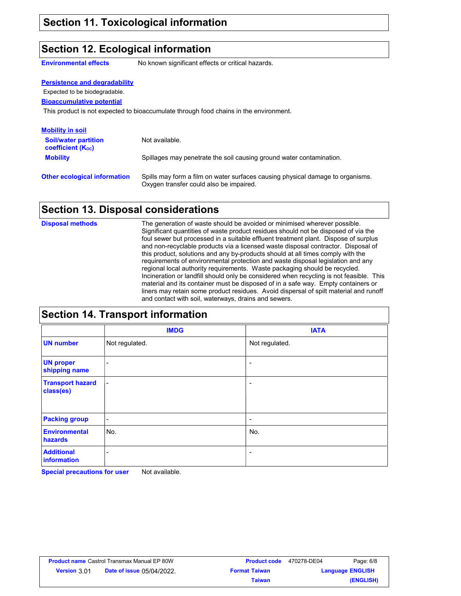### **Section 12. Ecological information**

**Environmental effects** No known significant effects or critical hazards.

| <b>Persistence and degradability</b>                                 |                                                                                                                           |
|----------------------------------------------------------------------|---------------------------------------------------------------------------------------------------------------------------|
| Expected to be biodegradable.                                        |                                                                                                                           |
| <b>Bioaccumulative potential</b>                                     |                                                                                                                           |
|                                                                      | This product is not expected to bioaccumulate through food chains in the environment.                                     |
| <b>Mobility in soil</b>                                              |                                                                                                                           |
| <b>Soil/water partition</b><br><b>coefficient</b> (K <sub>oc</sub> ) | Not available.                                                                                                            |
| <b>Mobility</b>                                                      | Spillages may penetrate the soil causing ground water contamination.                                                      |
| <b>Other ecological information</b>                                  | Spills may form a film on water surfaces causing physical damage to organisms.<br>Oxygen transfer could also be impaired. |

## **Section 13. Disposal considerations**

The generation of waste should be avoided or minimised wherever possible. Significant quantities of waste product residues should not be disposed of via the foul sewer but processed in a suitable effluent treatment plant. Dispose of surplus and non-recyclable products via a licensed waste disposal contractor. Disposal of this product, solutions and any by-products should at all times comply with the requirements of environmental protection and waste disposal legislation and any regional local authority requirements. Waste packaging should be recycled. Incineration or landfill should only be considered when recycling is not feasible. This material and its container must be disposed of in a safe way. Empty containers or liners may retain some product residues. Avoid dispersal of spilt material and runoff and contact with soil, waterways, drains and sewers. **Disposal methods**

| <b>Section 14. Transport information</b> |                              |                          |  |  |
|------------------------------------------|------------------------------|--------------------------|--|--|
|                                          | <b>IMDG</b>                  | <b>IATA</b>              |  |  |
| <b>UN number</b>                         | Not regulated.               | Not regulated.           |  |  |
| <b>UN proper</b><br>shipping name        |                              | ۰                        |  |  |
| <b>Transport hazard</b><br>class(es)     | $\qquad \qquad \blacksquare$ | $\overline{\phantom{0}}$ |  |  |
| <b>Packing group</b>                     | $\overline{\phantom{a}}$     | -                        |  |  |
| <b>Environmental</b><br>hazards          | No.                          | No.                      |  |  |
| <b>Additional</b><br>information         |                              | -                        |  |  |

**Special precautions for user** Not available.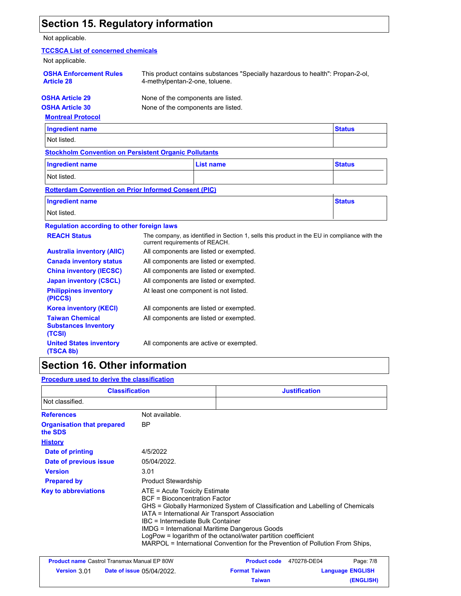## **Section 15. Regulatory information**

### Not applicable.

| <b>TCCSCA List of concerned chemicals</b>                       |                                    |                                                                                |                                                                                              |
|-----------------------------------------------------------------|------------------------------------|--------------------------------------------------------------------------------|----------------------------------------------------------------------------------------------|
| Not applicable.                                                 |                                    |                                                                                |                                                                                              |
| <b>OSHA Enforcement Rules</b><br><b>Article 28</b>              | 4-methylpentan-2-one, toluene.     | This product contains substances "Specially hazardous to health": Propan-2-ol, |                                                                                              |
| <b>OSHA Article 29</b>                                          | None of the components are listed. |                                                                                |                                                                                              |
| <b>OSHA Article 30</b>                                          | None of the components are listed. |                                                                                |                                                                                              |
| <b>Montreal Protocol</b>                                        |                                    |                                                                                |                                                                                              |
| <b>Ingredient name</b>                                          |                                    |                                                                                | <b>Status</b>                                                                                |
| Not listed.                                                     |                                    |                                                                                |                                                                                              |
| <b>Stockholm Convention on Persistent Organic Pollutants</b>    |                                    |                                                                                |                                                                                              |
| <b>Ingredient name</b>                                          |                                    | <b>List name</b>                                                               | <b>Status</b>                                                                                |
| Not listed.                                                     |                                    |                                                                                |                                                                                              |
| <b>Rotterdam Convention on Prior Informed Consent (PIC)</b>     |                                    |                                                                                |                                                                                              |
| <b>Ingredient name</b>                                          |                                    |                                                                                | <b>Status</b>                                                                                |
| Not listed.                                                     |                                    |                                                                                |                                                                                              |
| <b>Regulation according to other foreign laws</b>               |                                    |                                                                                |                                                                                              |
| <b>REACH Status</b>                                             | current requirements of REACH.     |                                                                                | The company, as identified in Section 1, sells this product in the EU in compliance with the |
| <b>Australia inventory (AIIC)</b>                               |                                    | All components are listed or exempted.                                         |                                                                                              |
| <b>Canada inventory status</b>                                  |                                    | All components are listed or exempted.                                         |                                                                                              |
| <b>China inventory (IECSC)</b>                                  |                                    | All components are listed or exempted.                                         |                                                                                              |
| <b>Japan inventory (CSCL)</b>                                   |                                    | All components are listed or exempted.                                         |                                                                                              |
| <b>Philippines inventory</b><br>(PICCS)                         |                                    | At least one component is not listed.                                          |                                                                                              |
| <b>Korea inventory (KECI)</b>                                   |                                    | All components are listed or exempted.                                         |                                                                                              |
| <b>Taiwan Chemical</b><br><b>Substances Inventory</b><br>(TCSI) |                                    | All components are listed or exempted.                                         |                                                                                              |
| <b>United States inventory</b><br>(TSCA 8b)                     |                                    | All components are active or exempted.                                         |                                                                                              |

## **Section 16. Other information**

**Procedure used to derive the classification**

| <b>Classification</b>                        |                                                                                                                                                                                                                 | <b>Justification</b>                                                                                                                                                                                                            |  |
|----------------------------------------------|-----------------------------------------------------------------------------------------------------------------------------------------------------------------------------------------------------------------|---------------------------------------------------------------------------------------------------------------------------------------------------------------------------------------------------------------------------------|--|
| Not classified.                              |                                                                                                                                                                                                                 |                                                                                                                                                                                                                                 |  |
| <b>References</b>                            | Not available.                                                                                                                                                                                                  |                                                                                                                                                                                                                                 |  |
| <b>Organisation that prepared</b><br>the SDS | ΒP                                                                                                                                                                                                              |                                                                                                                                                                                                                                 |  |
| <b>History</b>                               |                                                                                                                                                                                                                 |                                                                                                                                                                                                                                 |  |
| Date of printing                             | 4/5/2022                                                                                                                                                                                                        |                                                                                                                                                                                                                                 |  |
| Date of previous issue                       | 05/04/2022.                                                                                                                                                                                                     |                                                                                                                                                                                                                                 |  |
| <b>Version</b>                               | 3.01                                                                                                                                                                                                            |                                                                                                                                                                                                                                 |  |
| <b>Prepared by</b>                           | <b>Product Stewardship</b>                                                                                                                                                                                      |                                                                                                                                                                                                                                 |  |
| <b>Key to abbreviations</b>                  | $ATE = Acute Toxicity Estimate$<br><b>BCF</b> = Bioconcentration Factor<br>IATA = International Air Transport Association<br>IBC = Intermediate Bulk Container<br>IMDG = International Maritime Dangerous Goods | GHS = Globally Harmonized System of Classification and Labelling of Chemicals<br>LogPow = logarithm of the octanol/water partition coefficient<br>MARPOL = International Convention for the Prevention of Pollution From Ships, |  |

|                     | <b>Product name Castrol Transmax Manual EP 80W</b> | <b>Product code</b>  | 470278-DE04 | Page: 7/8               |
|---------------------|----------------------------------------------------|----------------------|-------------|-------------------------|
| <b>Version 3.01</b> | <b>Date of issue 05/04/2022.</b>                   | <b>Format Taiwan</b> |             | <b>Language ENGLISH</b> |
|                     |                                                    | Taiwan               |             | (ENGLISH)               |